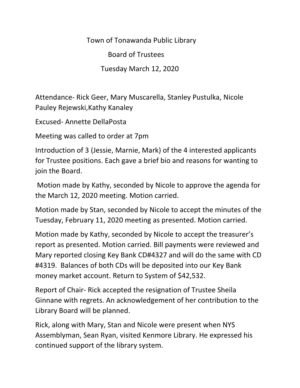Town of Tonawanda Public Library Board of Trustees Tuesday March 12, 2020

Attendance- Rick Geer, Mary Muscarella, Stanley Pustulka, Nicole Pauley Rejewski,Kathy Kanaley

Excused- Annette DellaPosta

Meeting was called to order at 7pm

Introduction of 3 (Jessie, Marnie, Mark) of the 4 interested applicants for Trustee positions. Each gave a brief bio and reasons for wanting to join the Board.

Motion made by Kathy, seconded by Nicole to approve the agenda for the March 12, 2020 meeting. Motion carried.

Motion made by Stan, seconded by Nicole to accept the minutes of the Tuesday, February 11, 2020 meeting as presented. Motion carried.

Motion made by Kathy, seconded by Nicole to accept the treasurer's report as presented. Motion carried. Bill payments were reviewed and Mary reported closing Key Bank CD#4327 and will do the same with CD #4319. Balances of both CDs will be deposited into our Key Bank money market account. Return to System of \$42,532.

Report of Chair- Rick accepted the resignation of Trustee Sheila Ginnane with regrets. An acknowledgement of her contribution to the Library Board will be planned.

Rick, along with Mary, Stan and Nicole were present when NYS Assemblyman, Sean Ryan, visited Kenmore Library. He expressed his continued support of the library system.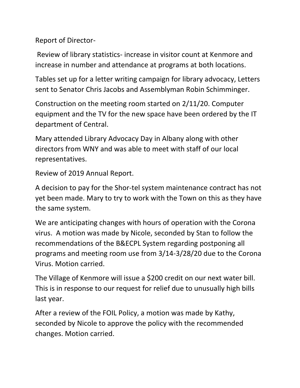Report of Director-

Review of library statistics- increase in visitor count at Kenmore and increase in number and attendance at programs at both locations.

Tables set up for a letter writing campaign for library advocacy, Letters sent to Senator Chris Jacobs and Assemblyman Robin Schimminger.

Construction on the meeting room started on 2/11/20. Computer equipment and the TV for the new space have been ordered by the IT department of Central.

Mary attended Library Advocacy Day in Albany along with other directors from WNY and was able to meet with staff of our local representatives.

Review of 2019 Annual Report.

A decision to pay for the Shor-tel system maintenance contract has not yet been made. Mary to try to work with the Town on this as they have the same system.

We are anticipating changes with hours of operation with the Corona virus. A motion was made by Nicole, seconded by Stan to follow the recommendations of the B&ECPL System regarding postponing all programs and meeting room use from 3/14-3/28/20 due to the Corona Virus. Motion carried.

The Village of Kenmore will issue a \$200 credit on our next water bill. This is in response to our request for relief due to unusually high bills last year.

After a review of the FOIL Policy, a motion was made by Kathy, seconded by Nicole to approve the policy with the recommended changes. Motion carried.